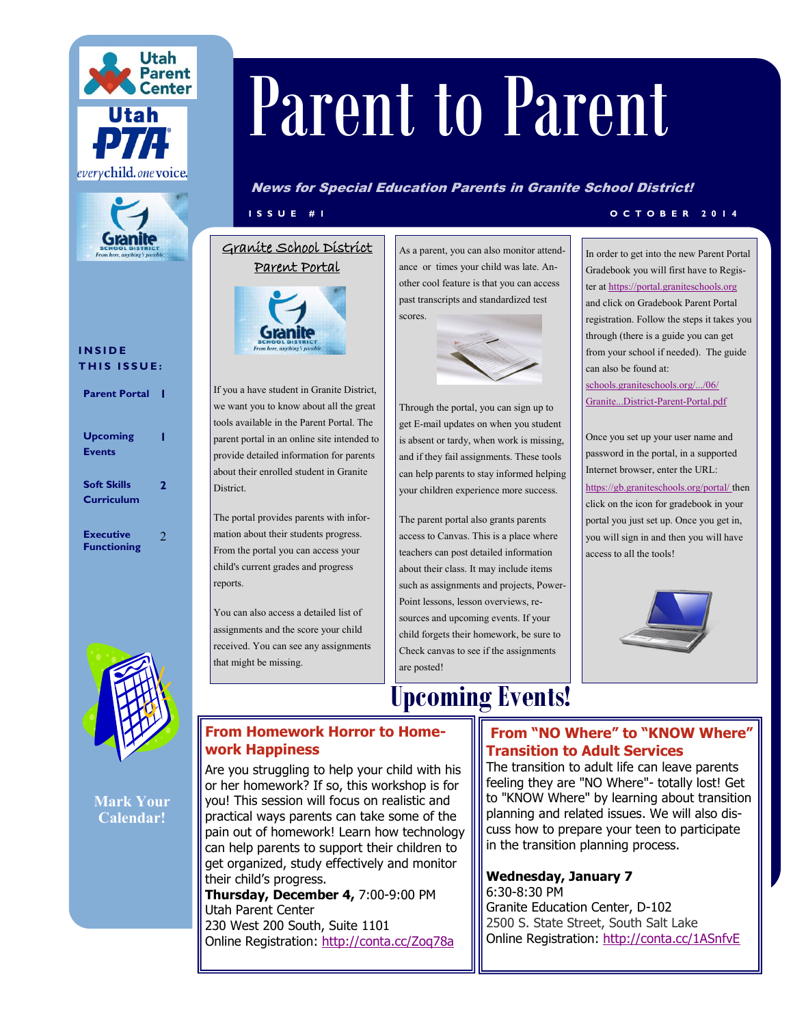



#### **I N S I D E THIS ISSUE:**

**Parent Portal 1**

| <b>Upcoming</b><br><b>Events</b>        |   |
|-----------------------------------------|---|
| <b>Soft Skills</b><br><b>Curriculum</b> | 2 |
| <b>Executive</b><br><b>Functioning</b>  | 2 |



**Mark Your Calendar!**

# Parent to Parent

News for Special Education Parents in Granite School District!

#### Granite School District Parent Portal



If you a have student in Granite District, we want you to know about all the great tools available in the Parent Portal. The parent portal in an online site intended to provide detailed information for parents about their enrolled student in Granite District.

The portal provides parents with information about their students progress. From the portal you can access your child's current grades and progress reports.

You can also access a detailed list of assignments and the score your child received. You can see any assignments that might be missing.

As a parent, you can also monitor attendance or times your child was late. Another cool feature is that you can access past transcripts and standardized test scores.



Through the portal, you can sign up to get E-mail updates on when you student is absent or tardy, when work is missing, and if they fail assignments. These tools can help parents to stay informed helping your children experience more success.

The parent portal also grants parents access to Canvas. This is a place where teachers can post detailed information about their class. It may include items such as assignments and projects, Power-Point lessons, lesson overviews, resources and upcoming events. If your child forgets their homework, be sure to Check canvas to see if the assignments are posted!

## **Upcoming Events!**

#### **I S S U E # 1 O C T O B E R 2 0 1 4**

In order to get into the new Parent Portal Gradebook you will first have to Register at<https://portal.graniteschools.org> and click on Gradebook Parent Portal registration. Follow the steps it takes you through (there is a guide you can get from your school if needed). The guide can also be found at:

[schools.graniteschools.org/.../06/](schools.graniteschools.org/.../06/Granite...District-Parent-Portal.pdf) [Granite...District](schools.graniteschools.org/.../06/Granite...District-Parent-Portal.pdf)-Parent-Portal.pdf

Once you set up your user name and password in the portal, in a supported Internet browser, enter the URL: [https://gb.graniteschools.org/portal/ th](https://gb.graniteschools.org/portal/)en click on the icon for gradebook in your portal you just set up. Once you get in, you will sign in and then you will have access to all the tools!



#### **From Homework Horror to Homework Happiness**

Are you struggling to help your child with his or her homework? If so, this workshop is for you! This session will focus on realistic and practical ways parents can take some of the pain out of homework! Learn how technology can help parents to support their children to get organized, study effectively and monitor their child's progress.

**Thursday, December 4,** 7:00-9:00 PM Utah Parent Center 230 West 200 South, Suite 1101 Online Registration: <http://conta.cc/Zoq78a>

#### **From "NO Where" to "KNOW Where" Transition to Adult Services**

The transition to adult life can leave parents feeling they are "NO Where"- totally lost! Get to "KNOW Where" by learning about transition planning and related issues. We will also discuss how to prepare your teen to participate in the transition planning process.

#### **Wednesday, January 7** 6:30-8:30 PM

Granite Education Center, D-102 2500 S. State Street, South Salt Lake Online Registration: <http://conta.cc/1ASnfvE>